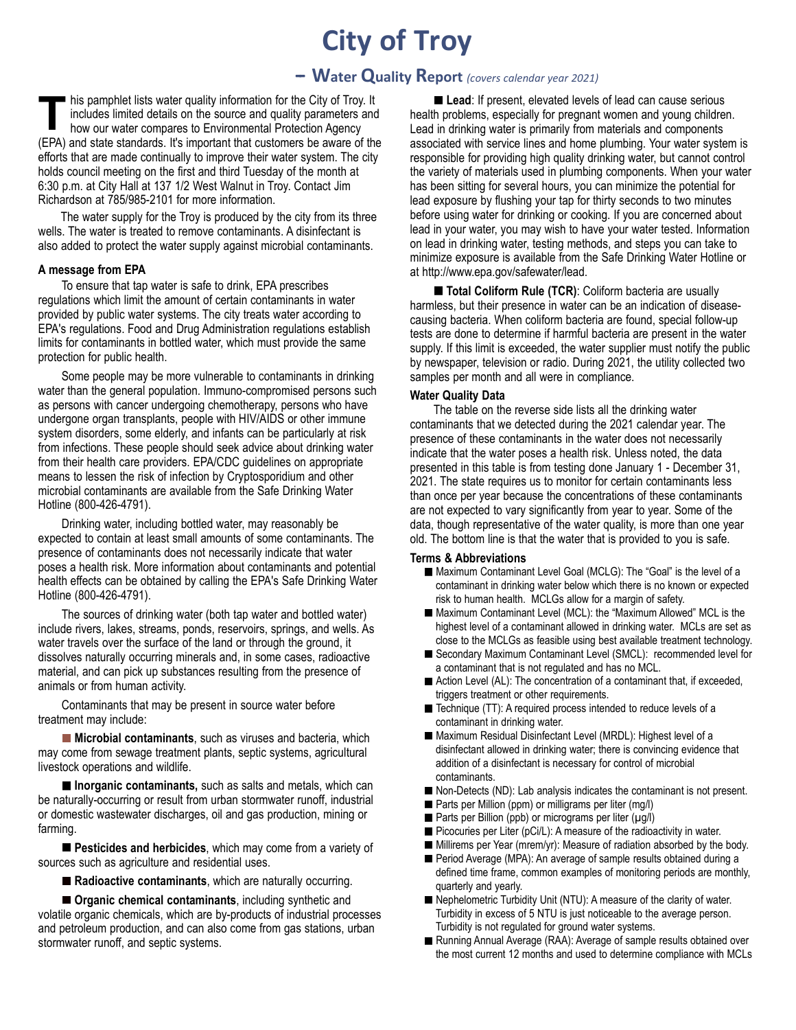# **City of Troy**

## **-- Water Quality Report** *(covers calendar year 2021)*

his pamphlet lists water quality information for the City of Troy. It includes limited details on the source and quality parameters and how our water compares to Environmental Protection Agency It includes limited details on the source and quality parameters and how our water compares to Environmental Protection Agency (EPA) and state standards. It's important that customers be aware of the efforts that are made continually to improve their water system. The city holds council meeting on the first and third Tuesday of the month at 6:30 p.m. at City Hall at 137 1/2 West Walnut in Troy. Contact Jim Richardson at 785/985-2101 for more information.

The water supply for the Troy is produced by the city from its three wells. The water is treated to remove contaminants. A disinfectant is also added to protect the water supply against microbial contaminants.

#### **A message from EPA**

To ensure that tap water is safe to drink, EPA prescribes regulations which limit the amount of certain contaminants in water provided by public water systems. The city treats water according to EPA's regulations. Food and Drug Administration regulations establish limits for contaminants in bottled water, which must provide the same protection for public health.

Some people may be more vulnerable to contaminants in drinking water than the general population. Immuno-compromised persons such as persons with cancer undergoing chemotherapy, persons who have undergone organ transplants, people with HIV/AIDS or other immune system disorders, some elderly, and infants can be particularly at risk from infections. These people should seek advice about drinking water from their health care providers. EPA/CDC guidelines on appropriate means to lessen the risk of infection by Cryptosporidium and other microbial contaminants are available from the Safe Drinking Water Hotline (800-426-4791).

Drinking water, including bottled water, may reasonably be expected to contain at least small amounts of some contaminants. The presence of contaminants does not necessarily indicate that water poses a health risk. More information about contaminants and potential health effects can be obtained by calling the EPA's Safe Drinking Water Hotline (800-426-4791).

The sources of drinking water (both tap water and bottled water) include rivers, lakes, streams, ponds, reservoirs, springs, and wells. As water travels over the surface of the land or through the ground, it dissolves naturally occurring minerals and, in some cases, radioactive material, and can pick up substances resulting from the presence of animals or from human activity.

Contaminants that may be present in source water before treatment may include:

**Microbial contaminants**, such as viruses and bacteria, which may come from sewage treatment plants, septic systems, agricultural livestock operations and wildlife.

**Inorganic contaminants,** such as salts and metals, which can be naturally-occurring or result from urban stormwater runoff, industrial or domestic wastewater discharges, oil and gas production, mining or farming.

**Pesticides and herbicides**, which may come from a variety of sources such as agriculture and residential uses.

■ Radioactive contaminants, which are naturally occurring.

**Organic chemical contaminants**, including synthetic and volatile organic chemicals, which are by-products of industrial processes and petroleum production, and can also come from gas stations, urban stormwater runoff, and septic systems.

**Lead:** If present, elevated levels of lead can cause serious health problems, especially for pregnant women and young children. Lead in drinking water is primarily from materials and components associated with service lines and home plumbing. Your water system is responsible for providing high quality drinking water, but cannot control the variety of materials used in plumbing components. When your water has been sitting for several hours, you can minimize the potential for lead exposure by flushing your tap for thirty seconds to two minutes before using water for drinking or cooking. If you are concerned about lead in your water, you may wish to have your water tested. Information on lead in drinking water, testing methods, and steps you can take to minimize exposure is available from the Safe Drinking Water Hotline or at http://www.epa.gov/safewater/lead.

■ **Total Coliform Rule (TCR)**: Coliform bacteria are usually harmless, but their presence in water can be an indication of diseasecausing bacteria. When coliform bacteria are found, special follow-up tests are done to determine if harmful bacteria are present in the water supply. If this limit is exceeded, the water supplier must notify the public by newspaper, television or radio. During 2021, the utility collected two samples per month and all were in compliance.

#### **Water Quality Data**

The table on the reverse side lists all the drinking water contaminants that we detected during the 2021 calendar year. The presence of these contaminants in the water does not necessarily indicate that the water poses a health risk. Unless noted, the data presented in this table is from testing done January 1 - December 31, 2021. The state requires us to monitor for certain contaminants less than once per year because the concentrations of these contaminants are not expected to vary significantly from year to year. Some of the data, though representative of the water quality, is more than one year old. The bottom line is that the water that is provided to you is safe.

#### **Terms & Abbreviations**

- Maximum Contaminant Level Goal (MCLG): The "Goal" is the level of a contaminant in drinking water below which there is no known or expected risk to human health. MCLGs allow for a margin of safety.
- Maximum Contaminant Level (MCL): the "Maximum Allowed" MCL is the highest level of a contaminant allowed in drinking water. MCLs are set as close to the MCLGs as feasible using best available treatment technology.
- Secondary Maximum Contaminant Level (SMCL): recommended level for a contaminant that is not regulated and has no MCL.
- Action Level (AL): The concentration of a contaminant that, if exceeded, triggers treatment or other requirements.
- Technique (TT): A required process intended to reduce levels of a contaminant in drinking water.
- Maximum Residual Disinfectant Level (MRDL): Highest level of a disinfectant allowed in drinking water; there is convincing evidence that addition of a disinfectant is necessary for control of microbial contaminants.
- Non-Detects (ND): Lab analysis indicates the contaminant is not present.
- Parts per Million (ppm) or milligrams per liter (mg/l)
- Parts per Billion (ppb) or micrograms per liter (µg/l)
- Picocuries per Liter (pCi/L): A measure of the radioactivity in water.
- Millirems per Year (mrem/yr): Measure of radiation absorbed by the body.
- Period Average (MPA): An average of sample results obtained during a defined time frame, common examples of monitoring periods are monthly, quarterly and yearly.
- Nephelometric Turbidity Unit (NTU): A measure of the clarity of water. Turbidity in excess of 5 NTU is just noticeable to the average person. Turbidity is not regulated for ground water systems.
- Running Annual Average (RAA): Average of sample results obtained over the most current 12 months and used to determine compliance with MCLs